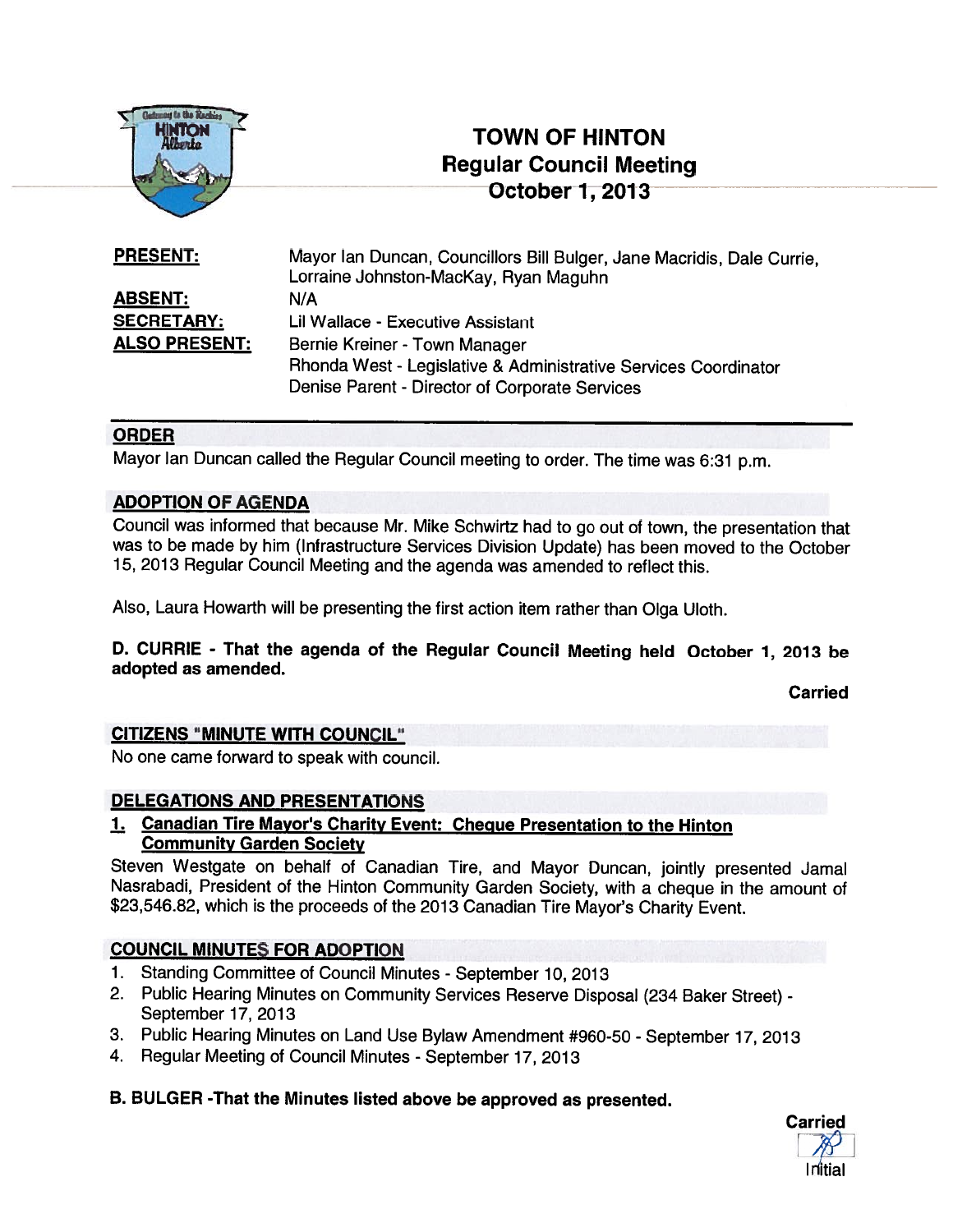

# **TOWN OF HINTON** Regular Council Meeting October 1, 2013

| <b>PRESENT:</b>      | Mayor Ian Duncan, Councillors Bill Bulger, Jane Macridis, Dale Currie<br>Lorraine Johnston-MacKay, Ryan Maguhn |  |  |  |
|----------------------|----------------------------------------------------------------------------------------------------------------|--|--|--|
| <b>ABSENT:</b>       | N/A                                                                                                            |  |  |  |
| <b>SECRETARY:</b>    | Lil Wallace - Executive Assistant                                                                              |  |  |  |
| <b>ALSO PRESENT:</b> | Bernie Kreiner - Town Manager                                                                                  |  |  |  |
|                      | Rhonda West - Legislative & Administrative Services Coordinator                                                |  |  |  |
|                      | Denise Parent - Director of Corporate Services                                                                 |  |  |  |

# ORDER

Mayor Ian Duncan called the Regular Council meeting to order. The time was 6:31 p.m.

#### ADOPTION OF AGENDA

Council was informed that because Mr. Mike Schwirtz had to go out of town, the presentation that was to be made by him (Infrastructure Services Division Update) has been moved to the October 15, <sup>2013</sup> Regular Council Meeting and the agenda was amended to reflect this.

Also, Laura Howarth will be presenting the first action item rather than Olga Uloth.

#### D. CURRIE - That the agenda of the Regular Council Meeting held October 1, <sup>2013</sup> be adopted as amended.

Carried

#### CITIZENS "MINUTE WITH COUNCIL"

No one came forward to speak with council.

#### DELEGATIONS AND PRESENTATIONS

# 1. Canadian Tire Mayor's Charity Event: Cheque Presentation to the Hinton **Community Garden Society**

Steven Westgate on behalf of Canadian Tire, and Mayor Duncan, jointly presented Jamal Nasrabadi, President of the Hinton Community Garden Society, with <sup>a</sup> cheque in the amount of \$23,546.82, which is the proceeds of the <sup>2013</sup> Canadian Tire Mayor's Charity Event.

# COUNCIL MINUTES FOR ADOPTION

- 1. Standing Committee of Council Minutes September 10, 2013
- 2. Public Hearing Minutes on Community Services Reserve Disposal (234 Baker Street) September 17, 2013
- 3. Public Hearing Minutes on Land Use Bylaw Amendment #960-50 September 17, <sup>2013</sup>
- 4. Regular Meeting of Council Minutes September 17, 2013

# B. BULGER -That the Minutes listed above be approve<sup>d</sup> as presented.

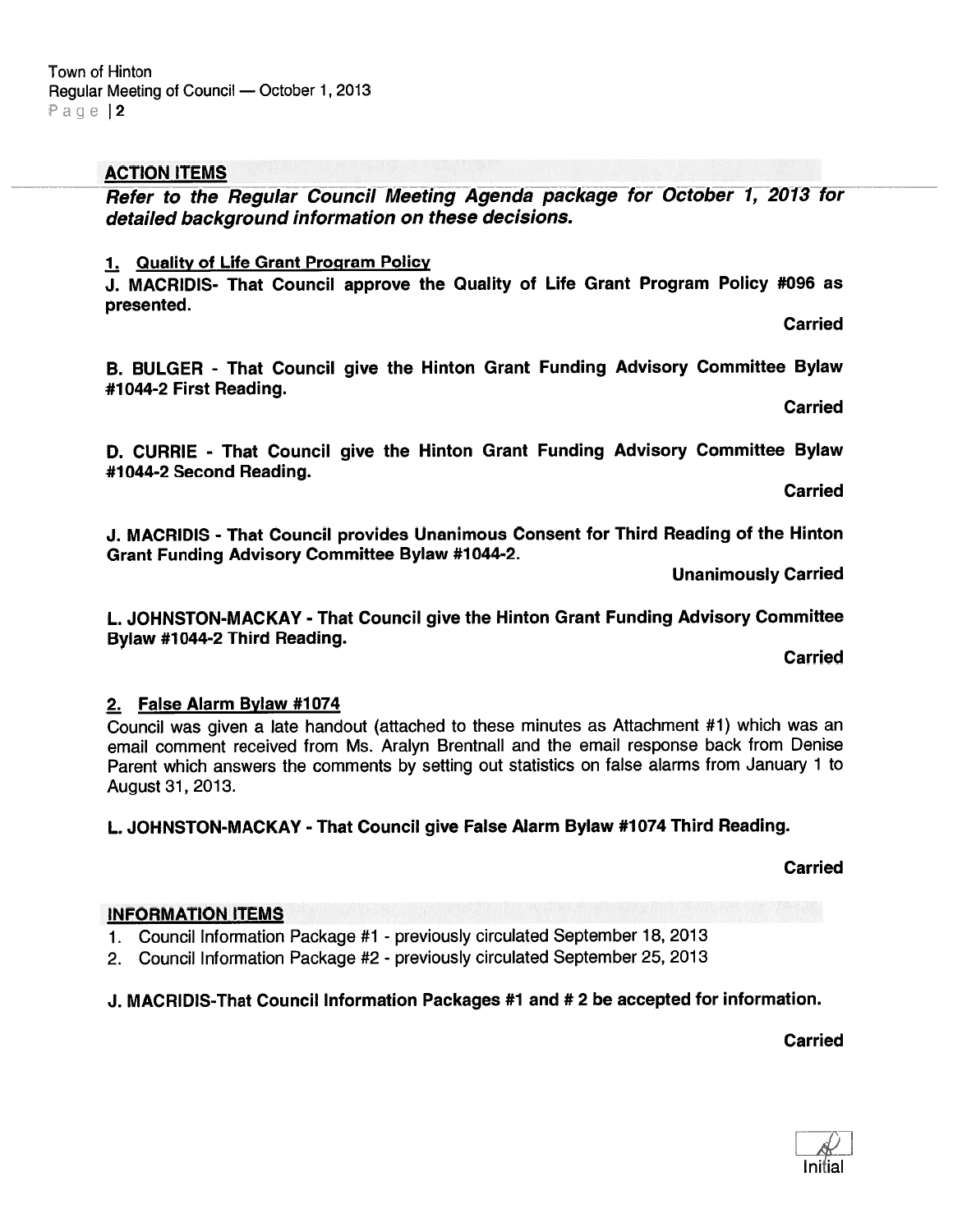# ACTION ITEMS

Refer to the Regular Council Meeting Agenda package for October 1, <sup>2013</sup> for detailed background information on these decisions.

# 1. Quality of Life Grant Program Policy

J. MACRIDIS- That Council approve the Quality of Life Grant Program Policy #096 as presented.

Carried

B. BULGER - That Council <sup>g</sup>ive the Hinton Grant Funding Advisory Committee Bylaw #1044-2 First Reading.

Carried

D. CURRIE - That Council <sup>g</sup>ive the Hinton Grant Funding Advisory Committee Bylaw #1044-2 Second Reading.

**Carried** 

J. MACRIDIS - That Council provides Unanimous Consent for Third Reading of the Hinton Grant Funding Advisory Committee Bylaw #1044-2.

Unanimously Carried

L. JOHNSTON-MACKAY - That Council <sup>g</sup>ive the Hinton Grant Funding Advisory Committee Bylaw #1044-2 Third Reading.

Carried

# 2. False Alarm Bylaw #1074

Council was <sup>g</sup>iven <sup>a</sup> late handout (attached to these minutes as Attachment #1) which was an email comment received from Ms. Aralyn Brentnall and the email response back from Denise Parent which answers the comments by setting out statistics on false alarms from January <sup>1</sup> to August 31, 2013.

L. JOHNSTON-MACKAY - That Council give False Alarm Bylaw #1074 Third Reading.

Carried

# INFORMATION ITEMS

- 1. Council Information Package #1 previously circulated September 18, 2013
- 2. Council Information Package #2 previously circulated September 25, 2013

# J. MACRIDIS-That Council Information Packages #1 and # 2 be accepted for information.

**Carried** 

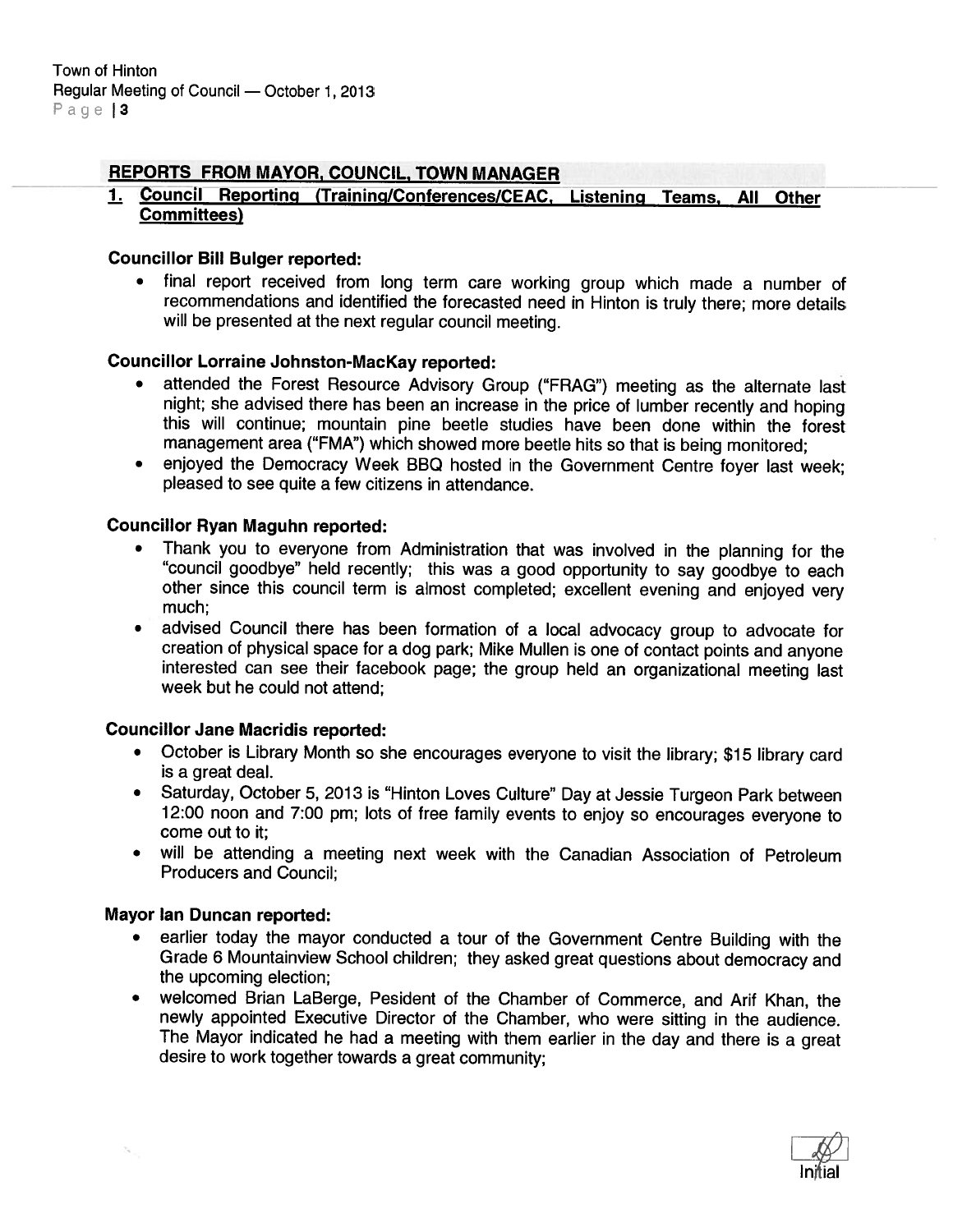# REPORTS FROM MAYOR, COUNCIL, TOWN MANAGER

1. Council Reporting (Training/Conferences/CEAC, Listening Teams, All Other Committees)

#### Councillor Bill Bulger reported:

• final report received from long term care working group which made <sup>a</sup> number of recommendations and identified the forecasted need in Hinton is truly there; more details will be presented at the next regular council meeting.

#### Councillor Lorraine Johnston-MacKay reported:

- • attended the Forest Resource Advisory Group ('FRAG") meeting as the alternate last night; she advised there has been an increase in the price of lumber recently and hoping this will continue; mountain <sup>p</sup>ine beetle studies have been done within the forest management area ("FMA") which showed more beetle hits so that is being monitored;
- • enjoyed the Democracy Week BBQ hosted in the Government Centre foyer last week; pleased to see quite <sup>a</sup> few citizens in attendance.

#### Councillor Ryan Maguhn reported:

- • Thank you to everyone from Administration that was involved in the <sup>p</sup>lanning for the "council goodbye" held recently; this was <sup>a</sup> good opportunity to say goodbye to each other since this council term is almost completed; excellent evening and enjoyed very much;
- • advised Council there has been formation of <sup>a</sup> local advocacy group to advocate for creation of <sup>p</sup>hysical space for <sup>a</sup> dog park; Mike Mullen is one of contact points and anyone interested can see their facebook page; the group held an organizational meeting last week but he could not attend;

#### Councillor Jane Macridis reported:

- • October is Library Month so she encourages everyone to visit the library; \$15 library card is <sup>a</sup> great deal.
- Saturday, October 5, <sup>2013</sup> is "Hinton Loves Culture" Day at Jessie Turgeon Park between 12:00 noon and 7:00 pm; lots of free family events to enjoy so encourages everyone to come out to it;
- • will be attending <sup>a</sup> meeting next week with the Canadian Association of Petroleum Producers and Council;

#### Mayor Ian Duncan reported:

- • earlier today the mayor conducted <sup>a</sup> tour of the Government Centre Building with the Grade <sup>6</sup> Mountainview School children; they asked great questions about democracy and the upcoming election;
- • welcomed Brian LaBerge, Pesident of the Chamber of Commerce, and Arif Khan, the newly appointed Executive Director of the Chamber, who were sitting in the audience. The Mayor indicated he had <sup>a</sup> meeting with them earlier in the day and there is <sup>a</sup> great desire to work together towards <sup>a</sup> great community;

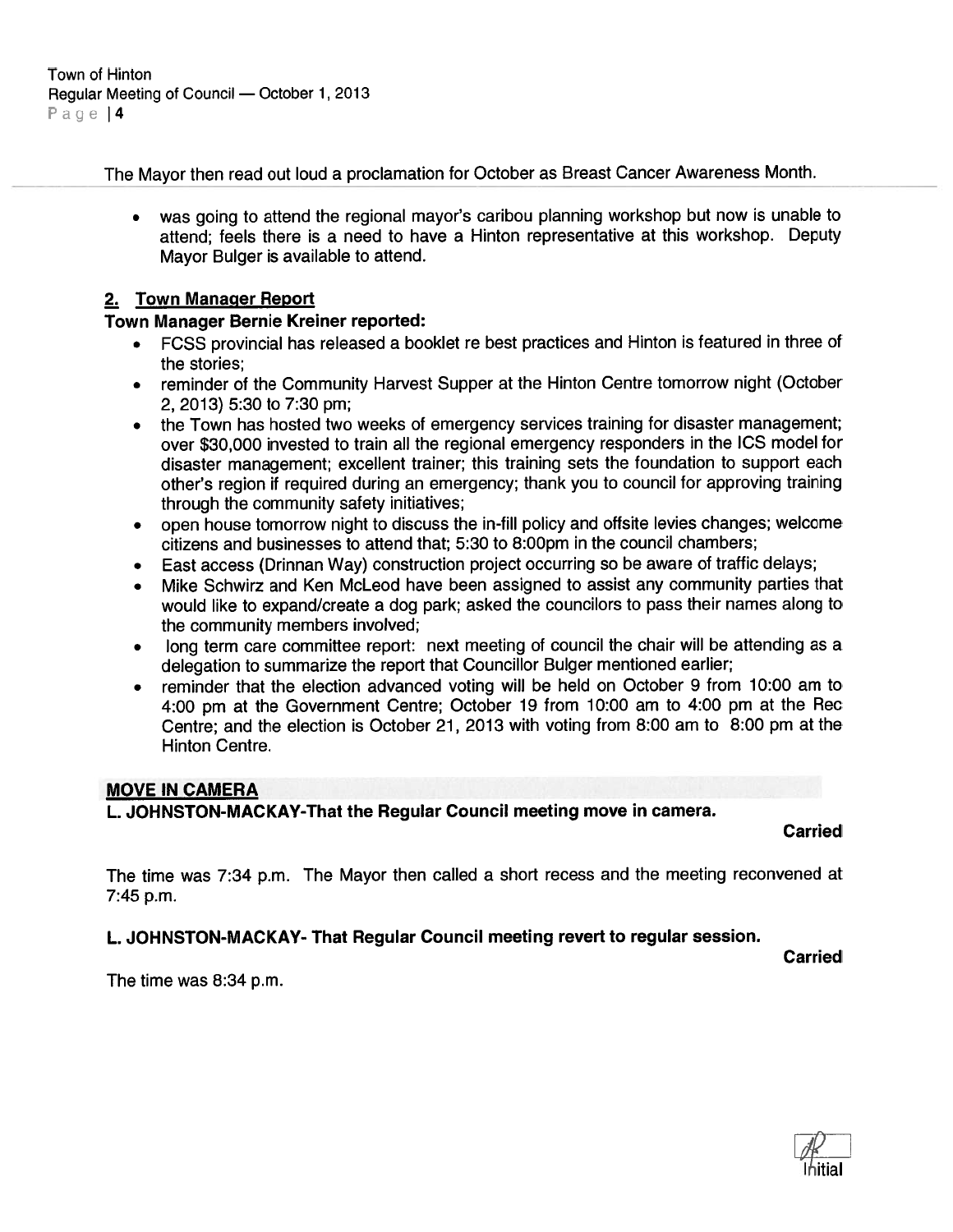Town of Hinton Regular Meeting of Council — October 1, 2013 Page 14

The Mayor then read out loud <sup>a</sup> proclamation for October as Breast Cancer Awareness Month.

• was going to attend the regional mayor's caribou <sup>p</sup>lanning workshop but now is unable to attend; feels there is <sup>a</sup> need to have <sup>a</sup> Hinton representative at this workshop. Deputy Mayor Bulger is available to attend.

#### 2. Town Manager Report

#### Town Manager Bernie Kreiner reported:

- FCSS provincial has released <sup>a</sup> booklet re best practices and Hinton is featured in three of the stories;
- reminder of the Community Harvest Supper at the Hinton Centre tomorrow night (October 2, 2013) 5:30 to 7:30 pm;
- • the Town has hosted two weeks of emergency services training for disaster management; over \$30,000 invested to train all the regional emergency responders in the ICS model for disaster management; excellent trainer; this training sets the foundation to suppor<sup>t</sup> each other's region if required during an emergency; thank you to council for approving training through the community safety initiatives;
- • open house tomorrow night to discuss the in-fill policy and offsite levies changes; welcome citizens and businesses to attend that; 5:30 to 8:00pm in the council chambers;
- •East access (Drinnan Way) construction project occurring so be aware of traffic delays;
- • Mike Schwirz and Ken McLeod have been assigned to assist any community parties that would like to expand/create <sup>a</sup> dog park; asked the councilors to pass their names along to the community members involved;
- • long term care committee report: next meeting of council the chair will be attending as <sup>a</sup> delegation to summarize the repor<sup>t</sup> that Councillor Bulger mentioned earlier;
- • reminder that the election advanced voting will be held on October 9 from 10:00 am to 4:00 pm at the Government Centre; October <sup>19</sup> from 10:00 am to 4:00 pm at the Rec Centre; and the election is October 21, 2013 with voting from 8:00 am to 8:00 pm at the Hinton Centre.

# MOVE IN CAMERA

L. JOHNSTON-MACKAY-That the Regular Council meeting move in camera.

Carried

The time was 7:34 p.m. The Mayor then called <sup>a</sup> short recess and the meeting reconvened at 7:45 p.m.

#### L. JOHNSTON-MACKAY- That Regular Council meeting revert to regular session.

Carried

The time was 8:34 p.m.

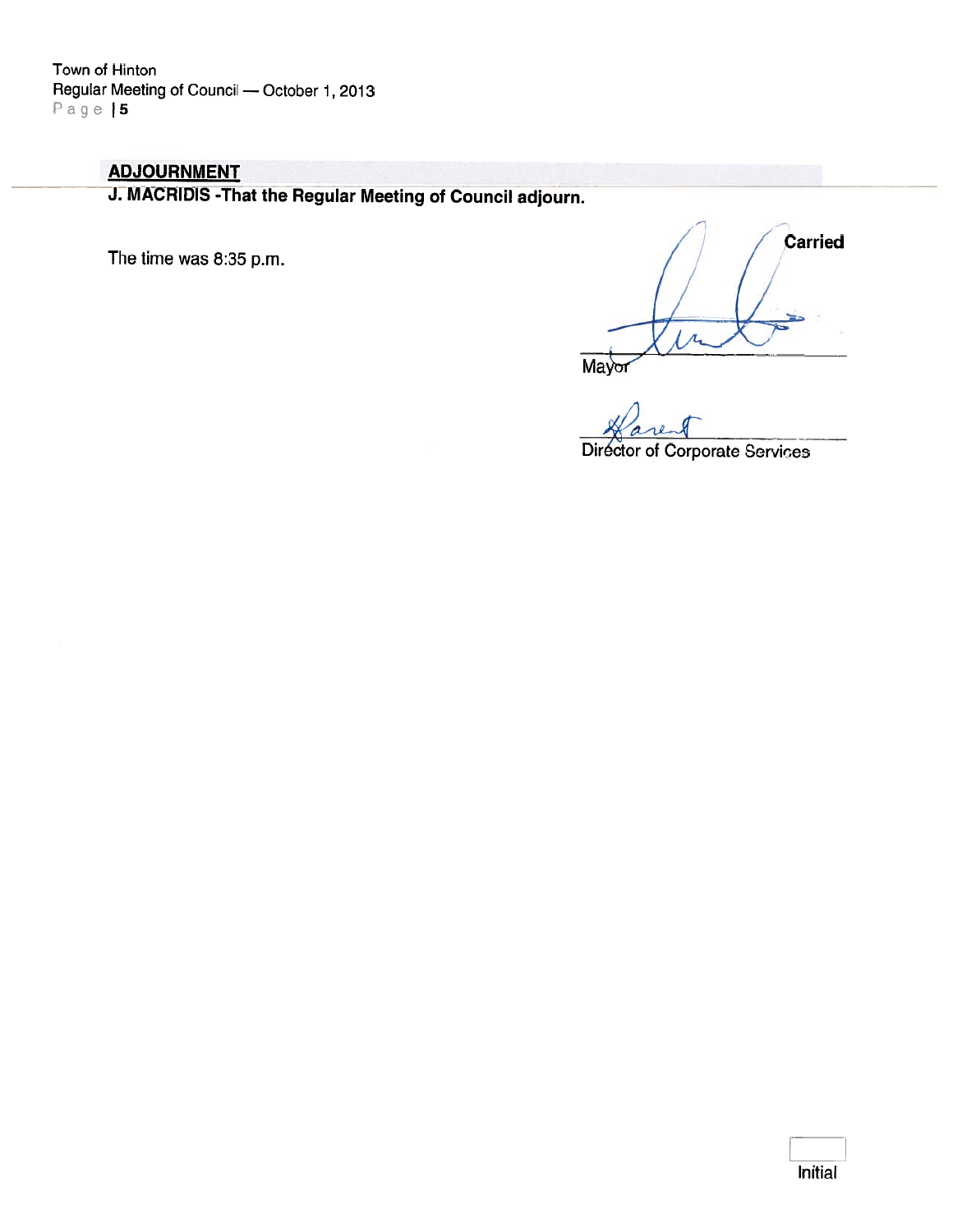Town of Hinton Regular Meeting of Council — October 1, 2013 Page | 5

# ADJOURNMENT

J. MACRIDIS -That the Regular Meeting of Council adjourn.

The time was 8:35 p.m.

Carried

Mayor

Director of Corporate Services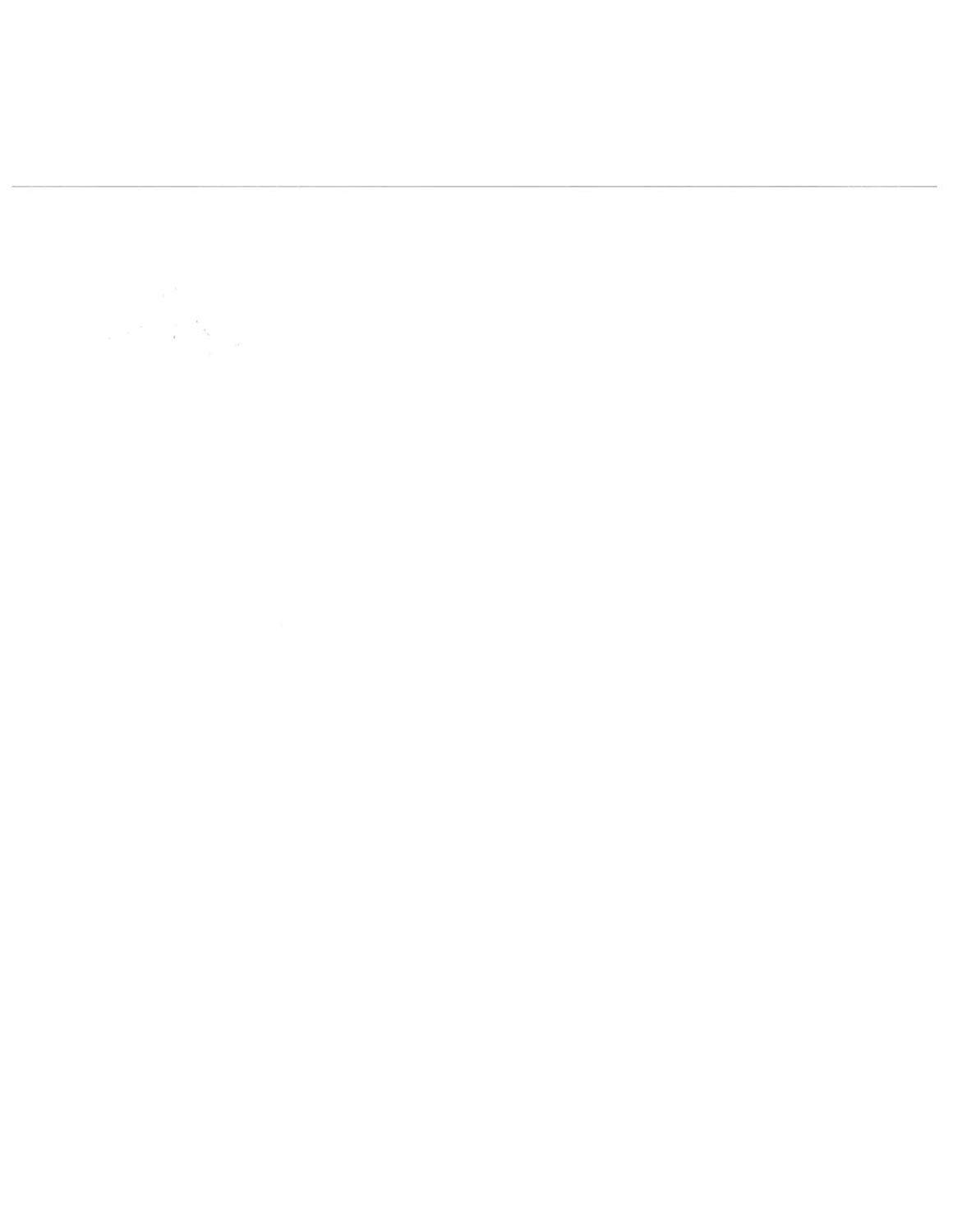$\label{eq:R1} \begin{split} \mathbf{x} & = \frac{1}{2} \left( \begin{array}{cc} \mathbf{0} & \mathbf{0} \\ \mathbf{0} & \mathbf{0} \\ \mathbf{0} & \mathbf{0} \end{array} \right) \begin{split} \mathbf{x} & = \frac{1}{2} \left( \begin{array}{cc} \mathbf{0} & \mathbf{0} \\ \mathbf{0} & \mathbf{0} \\ \mathbf{0} & \mathbf{0} \end{array} \right) \begin{split} \mathbf{x} & = \frac{1}{2} \left( \begin{array}{cc} \mathbf{0} & \mathbf{0} \\ \mathbf{0} & \mathbf{0}$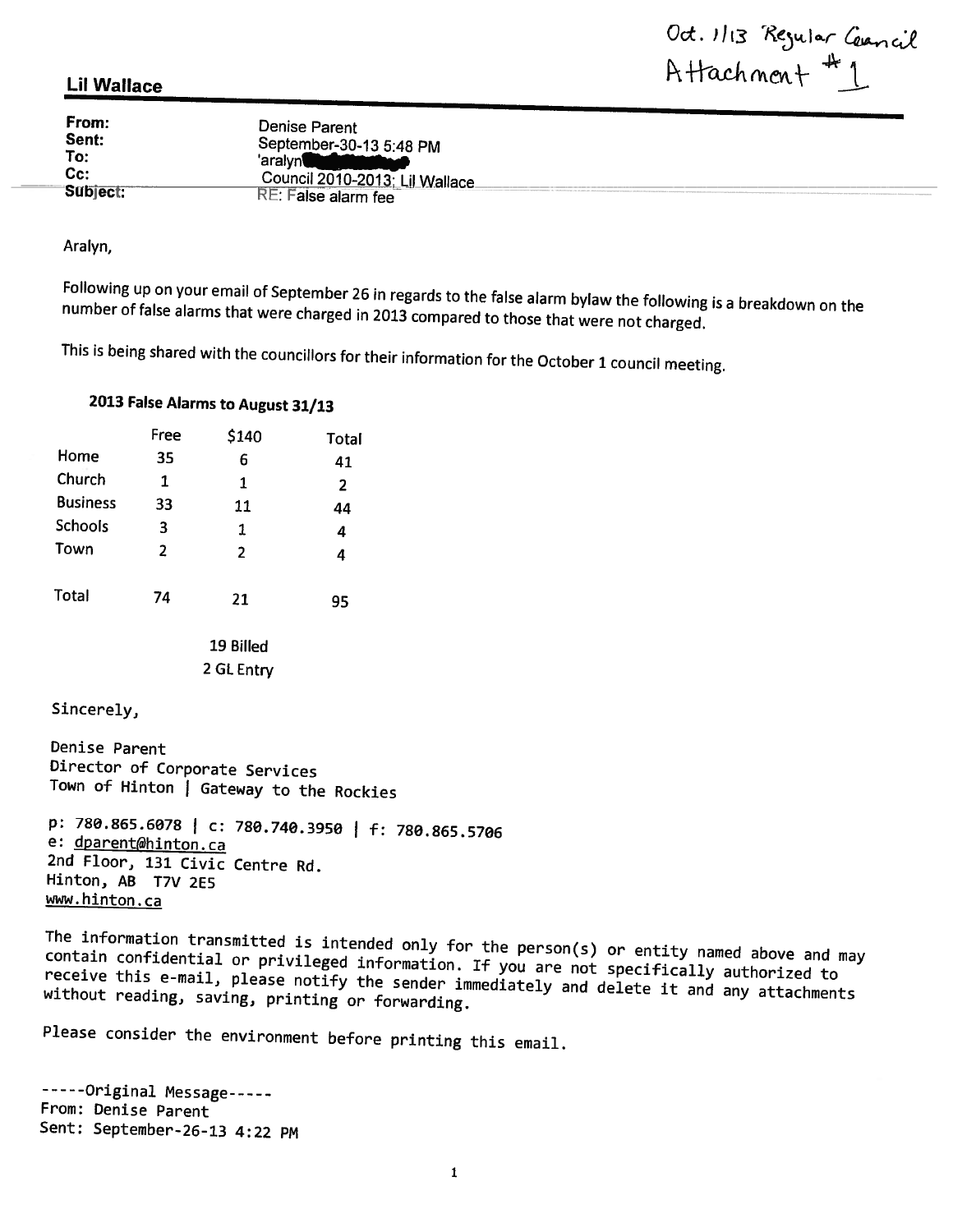0ct. 1/13 Lii Wallace  $\Gamma$  . The contract of the contract of the contract of  $\Gamma$ 

| From:    | Denise Parent                  |
|----------|--------------------------------|
| Sent:    | September-30-13 5:48 PM        |
| To:      | aralvni                        |
| Cc:      | Council 2010-2013; Lil Wallace |
| Subject: | RE: False alarm fee            |

Aralyn,

number Following of up on your email of September 26 in regards to the false alarm bylaw the following is a breakdown on the<br>false alarms that were charged in 2013 compared to those that were not charged.

This is being shared with the councillors for their information for the October <sup>1</sup> council meeting.

# <sup>2013</sup> False Alarms to August 31/13

|                 | Free           | \$140          | Total                   |
|-----------------|----------------|----------------|-------------------------|
| Home            | 35             | 6              | 41                      |
| Church          | 1              | 1              | $\overline{2}$          |
| <b>Business</b> | 33             | 11             | 44                      |
| <b>Schools</b>  | 3              | 1              | $\overline{\mathbf{4}}$ |
| Town            | $\overline{2}$ | $\overline{2}$ | 4                       |
| Total           | 74             | 21             | 95                      |
|                 |                | 19 Billed      |                         |

<sup>2</sup> GL Entry

Sincerely,

Denise Parent Director of Corporate Services Town of Hinton | Gateway to the Rockies

p: 780.865.6078 | c: 780.740.3950 | f: 780.865.5706 e: dparent@hinton.ca 2nd Floor, <sup>131</sup> Civic Centre Rd. Hinton, AB T7V 2E5 www. hinton . ca

The contain information confidential transmitted mitted is intended only for the person(s) or entity named above and may<br>or privileged information, If you are used in the named above and may contain confidential or privileged information. If you are not specifically authorized to<br>receive this e-mail, please notify the sender immediately and delete it and any attachment<br>without reading, saving, printing or forw receive this e-mail, please notify the sender immediately and delete it and any attachments

Please consider the environment before printing this email.

-----Original Message-----From: Denise Parent Sent: September-26-13 4:22 PM